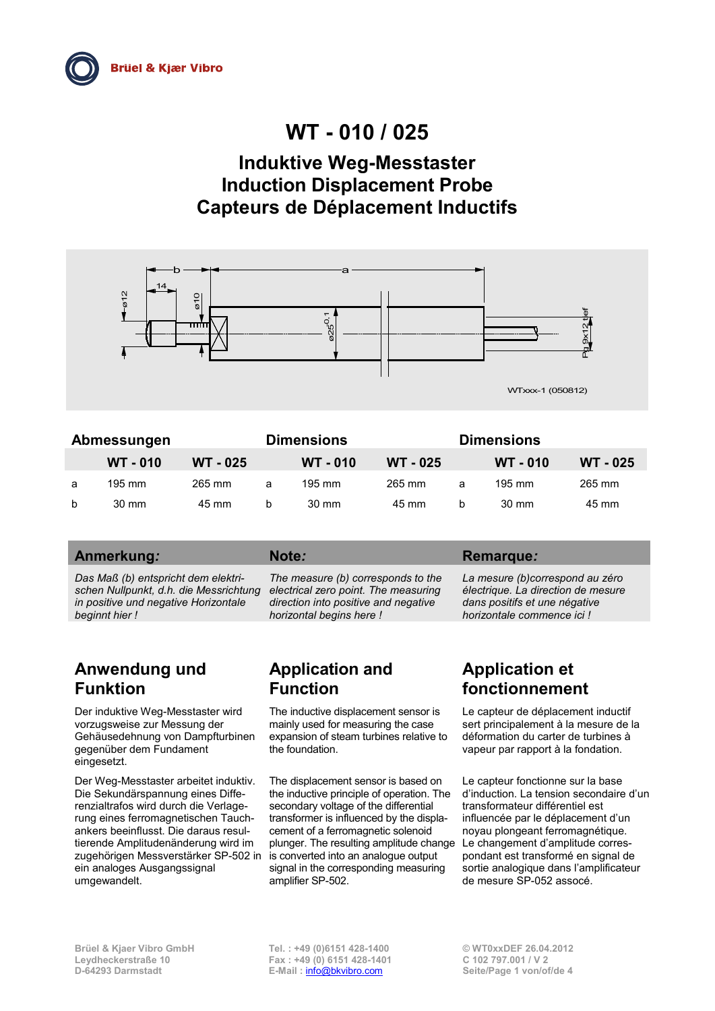# **WT - 010 / 025**

# **Induktive Weg-Messtaster Induction Displacement Probe Capteurs de Déplacement Inductifs**



| Abmessungen  |                  |          | <b>Dimensions</b> |                 |                 | <b>Dimensions</b> |                  |                 |
|--------------|------------------|----------|-------------------|-----------------|-----------------|-------------------|------------------|-----------------|
|              | <b>WT - 010</b>  | WT - 025 |                   | <b>WT - 010</b> | <b>WT - 025</b> |                   | <b>WT - 010</b>  | <b>WT - 025</b> |
| a            | $195 \text{ mm}$ | 265 mm   | a                 | 195 mm          | 265 mm          | a                 | $195 \text{ mm}$ | 265 mm          |
| <sub>b</sub> | $30 \text{ mm}$  | 45 mm    | b                 | $30 \text{ mm}$ | 45 mm           | b                 | $30 \text{ mm}$  | 45 mm           |

### Anmerkung*:* **Note***:* **Remarque***:* **Remarque***:* **Remarque***:* **Remarque***:* **Remarque***:* **Remarque***:* **Remarque***:* **Remarque***:* **Remarque***:* **Remarque***:* **Remarque***:* **Remarque***:* **Remarque***:* **Remarque***:* **Re**

*Das Maß (b) entspricht dem elektrischen Nullpunkt, d.h. die Messrichtung in positive und negative Horizontale beginnt hier !*

*The measure (b) corresponds to the electrical zero point. The measuring direction into positive and negative horizontal begins here !*

# **Anwendung und Funktion**

Der induktive Weg-Messtaster wird vorzugsweise zur Messung der Gehäusedehnung von Dampfturbinen gegenüber dem Fundament eingesetzt.

Der Weg-Messtaster arbeitet induktiv. Die Sekundärspannung eines Differenzialtrafos wird durch die Verlagerung eines ferromagnetischen Tauchankers beeinflusst. Die daraus resultierende Amplitudenänderung wird im zugehörigen Messverstärker SP-502 in ein analoges Ausgangssignal umgewandelt.

# **Application and Function**

The inductive displacement sensor is mainly used for measuring the case expansion of steam turbines relative to the foundation.

The displacement sensor is based on the inductive principle of operation. The secondary voltage of the differential transformer is influenced by the displacement of a ferromagnetic solenoid plunger. The resulting amplitude change is converted into an analogue output signal in the corresponding measuring amplifier SP-502.

*La mesure (b)correspond au zéro électrique. La direction de mesure dans positifs et une négative horizontale commence ici !*

# **Application et fonctionnement**

Le capteur de déplacement inductif sert principalement à la mesure de la déformation du carter de turbines à vapeur par rapport à la fondation.

Le capteur fonctionne sur la base d'induction. La tension secondaire d'un transformateur différentiel est influencée par le déplacement d'un noyau plongeant ferromagnétique. Le changement d'amplitude correspondant est transformé en signal de sortie analogique dans l'amplificateur de mesure SP-052 assocé.

**E-Mail** : **[info@bkvibro.com](mailto:info@bkvibro.com)**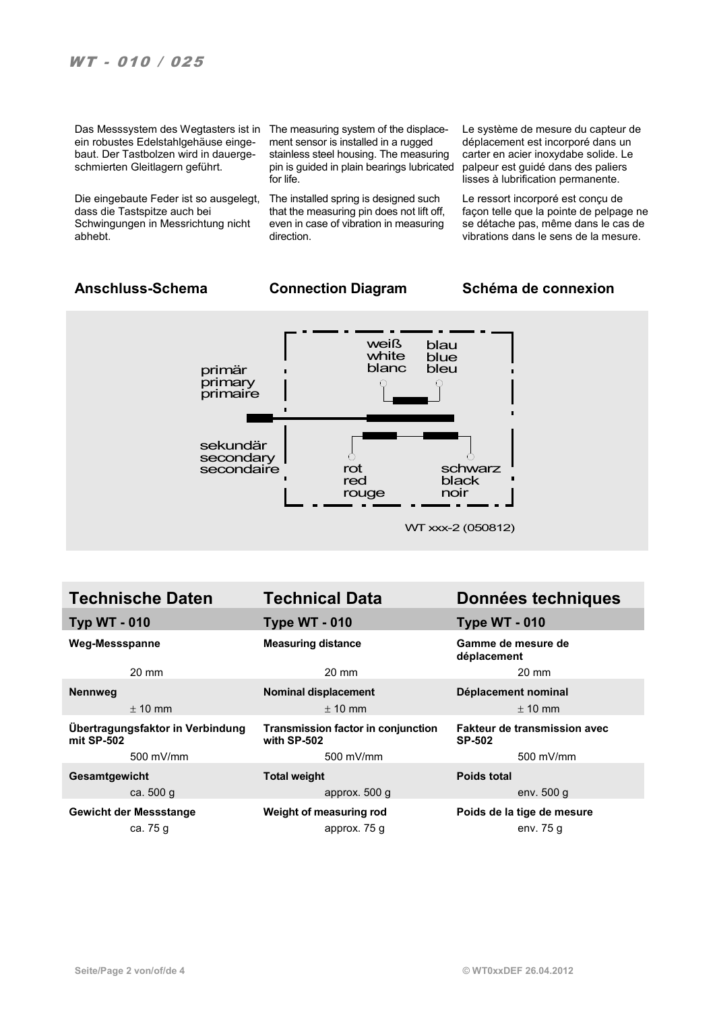Das Messsystem des Wegtasters ist in The measuring system of the displaceein robustes Edelstahlgehäuse eingebaut. Der Tastbolzen wird in dauergeschmierten Gleitlagern geführt.

Die eingebaute Feder ist so ausgelegt, dass die Tastspitze auch bei Schwingungen in Messrichtung nicht abhebt.

ment sensor is installed in a rugged stainless steel housing. The measuring pin is guided in plain bearings lubricated for life.

The installed spring is designed such that the measuring pin does not lift off, even in case of vibration in measuring direction.

Le système de mesure du capteur de déplacement est incorporé dans un carter en acier inoxydabe solide. Le palpeur est guidé dans des paliers lisses à lubrification permanente.

Le ressort incorporé est conçu de façon telle que la pointe de pelpage ne se détache pas, même dans le cas de vibrations dans le sens de la mesure.

### **Anschluss-Schema Connection Diagram Schéma de connexion**



| <b>Technische Daten</b>                        | <b>Technical Data</b>                             | Données techniques                                   |  |  |
|------------------------------------------------|---------------------------------------------------|------------------------------------------------------|--|--|
| <b>Typ WT - 010</b>                            | <b>Type WT - 010</b>                              | <b>Type WT - 010</b>                                 |  |  |
| <b>Weg-Messspanne</b>                          | <b>Measuring distance</b>                         | Gamme de mesure de<br>déplacement                    |  |  |
| $20 \text{ mm}$                                | $20 \text{ mm}$                                   | 20 mm                                                |  |  |
| <b>Nennweg</b>                                 | Nominal displacement                              | Déplacement nominal                                  |  |  |
| $\pm$ 10 mm                                    | $± 10$ mm                                         | $± 10$ mm                                            |  |  |
| Übertragungsfaktor in Verbindung<br>mit SP-502 | Transmission factor in conjunction<br>with SP-502 | <b>Fakteur de transmission avec</b><br><b>SP-502</b> |  |  |
| 500 mV/mm                                      | 500 mV/mm                                         | 500 mV/mm                                            |  |  |
| Gesamtgewicht                                  | <b>Total weight</b>                               | <b>Poids total</b>                                   |  |  |
| ca. 500 g                                      | approx. 500 g                                     | env. $500 g$                                         |  |  |
| <b>Gewicht der Messstange</b>                  | Weight of measuring rod                           | Poids de la tige de mesure                           |  |  |
| ca. 75 g                                       | approx. 75 g                                      | env. 75 g                                            |  |  |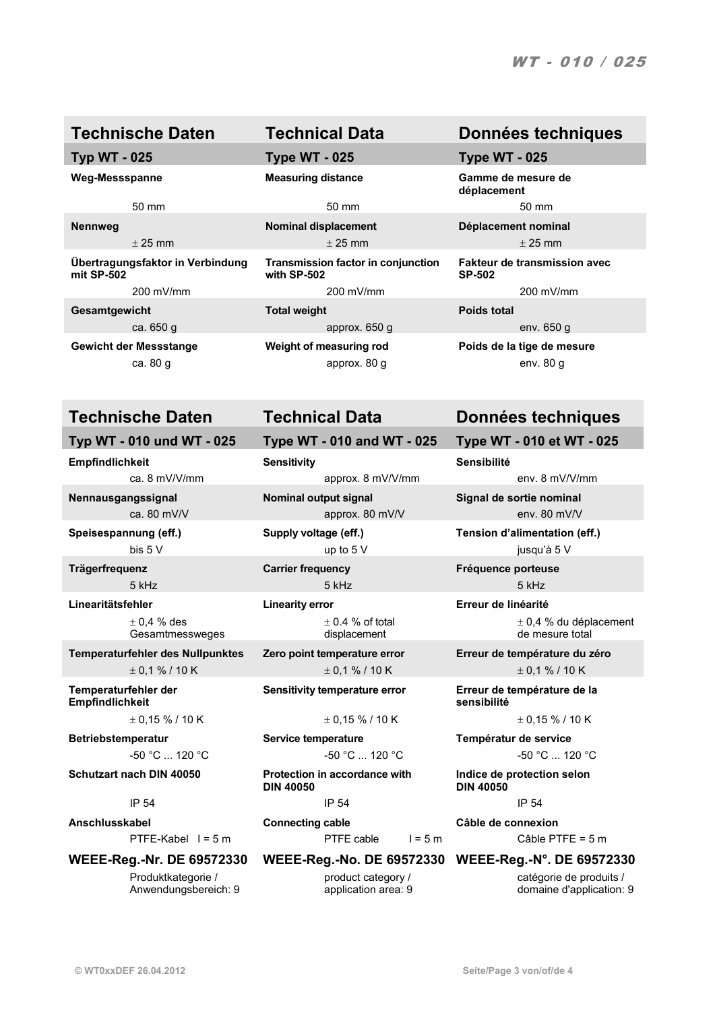**Übertragungsfaktor in Verbindung mit SP-502**

**Empfindlichkeit Sensitivity Sensibilité**

 $± 0.4 %$  des Gesamtmessweges

**Temperaturfehler der Empfindlichkeit**

**Betriebstemperatur Service temperature Températur de service**

Produktkategorie / Anwendungsbereich: 9

# **Typ WT - 025 Type WT - 025 Type WT - 025**

50 mm 50 mm 50 mm

 $\pm$  25 mm  $\pm$  25 mm  $\pm$  25 mm  $\pm$  25 mm

**Transmission factor in conjunction with SP-502** 200 mV/mm 200 mV/mm 200 mV/mm **Gesamtgewicht Total weight Poids total**

ca.  $650 \text{ g}$  env.  $650 \text{ g}$  env.  $650 \text{ g}$ 

ca. 80 g approx. 80 g env. 80 g

**Typ WT - 010 und WT - 025 Type WT - 010 and WT - 025 Type WT - 010 et WT - 025**

ca. 8 mV/V/mm approx. 8 mV/V/mm env. 8 mV/V/mm

ca. 80 mV/V approx. 80 mV/V env. 80 mV/V env. 80 mV/V

**Linearitätsfehler Linearity error Erreur de linéarité**  $\pm$  0.4 % of total displacement

**Schutzart nach DIN 40050 Protection in accordance with DIN 40050**

IP 54 IP 54 IP 54

**Anschlusskabel Connecting cable Câble de connexion** PTFE-Kabel 1 = 5 m PTFE cable 1 = 5 m Câble PTFE = 5 m

### **WEEE-Reg.-Nr. DE 69572330 WEEE-Reg.-No. DE 69572330 WEEE-Reg.-N°. DE 69572330**

product category / application area: 9

## **Technische Daten Technical Data Données techniques**

**Weg-Messspanne Measuring distance Gamme de mesure de déplacement**

**Nennweg Nominal displacement Déplacement nominal**

**Fakteur de transmission avec SP-502**

**Gewicht der Messstange Weight of measuring rod Poids de la tige de mesure**

# **Technische Daten Technical Data Données techniques**

**Nennausgangssignal Nominal output signal Signal de sortie nominal**

**Speisespannung (eff.) Supply voltage (eff.) Tension d'alimentation (eff.)** bis 5 V up to 5 V jusqu'à 5 V

**Trägerfrequenz Carrier frequency Fréquence porteuse** 5 kHz 5 kHz 5 kHz

> ± 0,4 % du déplacement de mesure total

**Temperaturfehler des Nullpunktes Zero point temperature error Erreur de température du zéro**  $\pm$  0,1 % / 10 K  $\pm$  0,1 % / 10 K  $\pm$  0.1 % / 10 K

> **Sensitivity temperature error Erreur de température de la sensibilité**

 $\pm 0.15\%$  / 10 K  $\pm 0.15\%$  / 10 K  $\pm 0.15\%$  / 10 K

-50 °C ... 120 °C  $-50$  °C ... 120 °C  $-50$  °C ... 120 °C  $-50$  °C ... 120 °C

**Indice de protection selon DIN 40050**

catégorie de produits / domaine d'application: 9